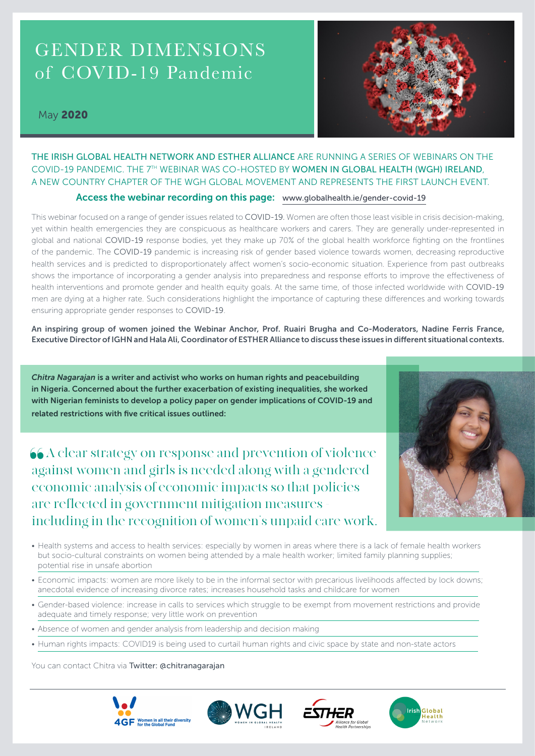# GENDER DIMENSIONS of COVID-19 Pandemic

# May 2020



# THE IRISH GLOBAL HEALTH NETWORK AND ESTHER ALLIANCE ARE RUNNING A SERIES OF WEBINARS ON THE COVID-19 PANDEMIC. THE 7TH WEBINAR WAS CO-HOSTED BY WOMEN IN GLOBAL HEALTH (WGH) IRELAND, A NEW COUNTRY CHAPTER OF THE WGH GLOBAL MOVEMENT AND REPRESENTS THE FIRST LAUNCH EVENT.

### Access the webinar recording on this page: www.globalhealth.ie/gender-covid-19

This webinar focused on a range of gender issues related to COVID-19. Women are often those least visible in crisis decision-making, yet within health emergencies they are conspicuous as healthcare workers and carers. They are generally under-represented in global and national COVID-19 response bodies, yet they make up 70% of the global health workforce fighting on the frontlines of the pandemic. The COVID-19 pandemic is increasing risk of gender based violence towards women, decreasing reproductive health services and is predicted to disproportionately affect women's socio-economic situation. Experience from past outbreaks shows the importance of incorporating a gender analysis into preparedness and response efforts to improve the effectiveness of health interventions and promote gender and health equity goals. At the same time, of those infected worldwide with COVID-19 men are dying at a higher rate. Such considerations highlight the importance of capturing these differences and working towards ensuring appropriate gender responses to COVID-19.

An inspiring group of women joined the Webinar Anchor, Prof. Ruairi Brugha and Co-Moderators, Nadine Ferris France, Executive Director of IGHN and Hala Ali, Coordinator of ESTHER Alliance to discuss these issues in different situational contexts.

*Chitra Nagarajan* is a writer and activist who works on human rights and peacebuilding in Nigeria. Concerned about the further exacerbation of existing inequalities, she worked with Nigerian feminists to develop a policy paper on gender implications of COVID-19 and related restrictions with five critical issues outlined:

 A clear strategy on response and prevention of violence against women and girls is needed along with a gendered economic analysis of economic impacts so that policies are reflected in government mitigation measures including in the recognition of women's unpaid care work.



- Health systems and access to health services: especially by women in areas where there is a lack of female health workers but socio-cultural constraints on women being attended by a male health worker; limited family planning supplies; potential rise in unsafe abortion
- Economic impacts: women are more likely to be in the informal sector with precarious livelihoods affected by lock downs; anecdotal evidence of increasing divorce rates; increases household tasks and childcare for women
- Gender-based violence: increase in calls to services which struggle to be exempt from movement restrictions and provide adequate and timely response; very little work on prevention
- Absence of women and gender analysis from leadership and decision making
- Human rights impacts: COVID19 is being used to curtail human rights and civic space by state and non-state actors

You can contact Chitra via Twitter: @chitranagarajan







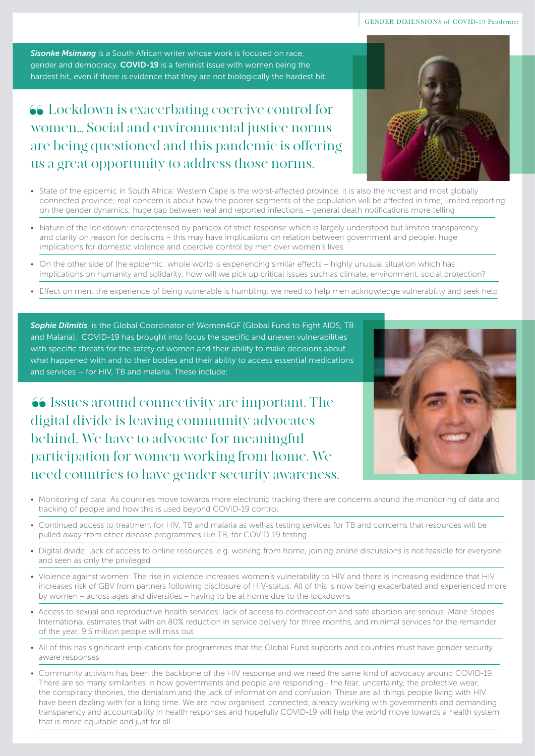*Sisonke Msimang* is a South African writer whose work is focused on race, gender and democracy. COVID-19 is a feminist issue with women being the hardest hit, even if there is evidence that they are not biologically the hardest hit.

# Lockdown is exacerbating coercive control for women… Social and environmental justice norms are being questioned and this pandemic is offering us a great opportunity to address those norms.



- State of the epidemic in South Africa: Western Cape is the worst-affected province, it is also the richest and most globally connected province; real concern is about how the poorer segments of the population will be affected in time; limited reporting on the gender dynamics; huge gap between real and reported infections – general death notifications more telling
- Nature of the lockdown: characterised by paradox of strict response which is largely understood but limited transparency and clarity on reason for decisions – this may have implications on relation between government and people; huge implications for domestic violence and coercive control by men over women's lives
- On the other side of the epidemic: whole world is experiencing similar effects highly unusual situation which has implications on humanity and solidarity; how will we pick up critical issues such as climate, environment, social protection?
- Effect on men: the experience of being vulnerable is humbling; we need to help men acknowledge vulnerability and seek help

*Sophie Dilmitis* is the Global Coordinator of Women4GF (Global Fund to Fight AIDS, TB and Malaria). COVID-19 has brought into focus the specific and uneven vulnerabilities with specific threats for the safety of women and their ability to make decisions about what happened with and to their bodies and their ability to access essential medications and services – for HIV, TB and malaria. These include:

 Issues around connectivity are important. The digital divide is leaving community advocates behind. We have to advocate for meaningful participation for women working from home. We need countries to have gender security awareness.



- Monitoring of data: As countries move towards more electronic tracking there are concerns around the monitoring of data and tracking of people and how this is used beyond COVID-19 control
- Continued access to treatment for HIV, TB and malaria as well as testing services for TB and concerns that resources will be pulled away from other disease programmes like TB, for COVID-19 testing
- Digital divide: lack of access to online resources, e.g. working from home, joining online discussions is not feasible for everyone and seen as only the privileged
- Violence against women: The rise in violence increases women's vulnerability to HIV and there is increasing evidence that HIV increases risk of GBV from partners following disclosure of HIV-status. All of this is now being exacerbated and experienced more by women – across ages and diversities – having to be at home due to the lockdowns
- Access to sexual and reproductive health services: lack of access to contraception and safe abortion are serious. Marie Stopes International estimates that with an 80% reduction in service delivery for three months, and minimal services for the remainder of the year, 9.5 million people will miss out
- All of this has significant implications for programmes that the Global Fund supports and countries must have gender security aware responses
- Community activism has been the backbone of the HIV response and we need the same kind of advocacy around COVID-19. There are so many similarities in how governments and people are responding - the fear, uncertainty, the protective wear, the conspiracy theories, the denialism and the lack of information and confusion. These are all things people living with HIV have been dealing with for a long time. We are now organised, connected, already working with governments and demanding transparency and accountability in health responses and hopefully COVID-19 will help the world move towards a health system that is more equitable and just for all